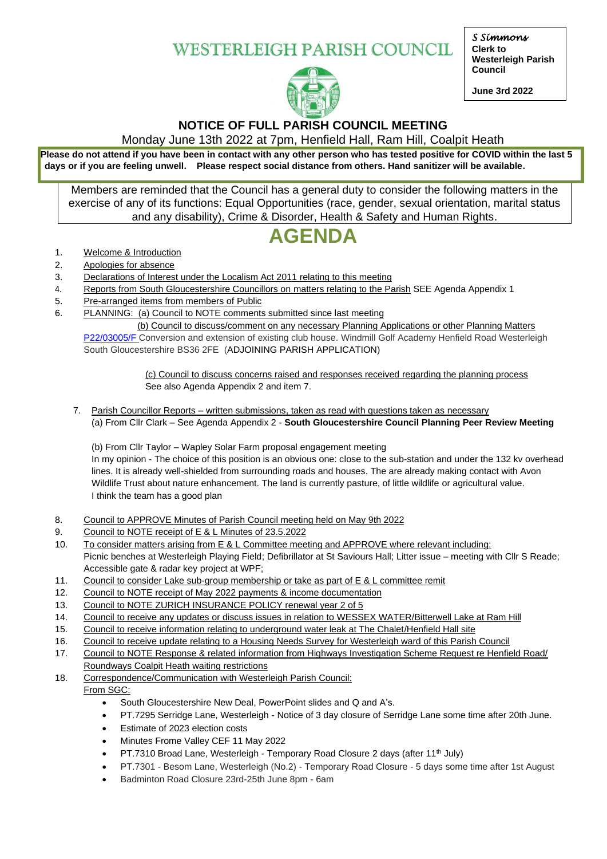**WESTERLEIGH PARISH COUNCIL** 



# **NOTICE OF FULL PARISH COUNCIL MEETING**

Monday June 13th 2022 at 7pm, Henfield Hall, Ram Hill, Coalpit Heath

**Please do not attend if you have been in contact with any other person who has tested positive for COVID within the last 5 days or if you are feeling unwell. Please respect social distance from others. Hand sanitizer will be available.**

Members are reminded that the Council has a general duty to consider the following matters in the exercise of any of its functions: Equal Opportunities (race, gender, sexual orientation, marital status and any disability), Crime & Disorder, Health & Safety and Human Rights.

# **AGENDA**

- 1. Welcome & Introduction
- 2. Apologies for absence
- 3. Declarations of Interest under the Localism Act 2011 relating to this meeting
- 4. Reports from South Gloucestershire Councillors on matters relating to the Parish SEE Agenda Appendix 1
- 5. Pre-arranged items from members of Public
- 6. PLANNING: (a) Council to NOTE comments submitted since last meeting

 (b) Council to discuss/comment on any necessary Planning Applications or other Planning Matters [P22/03005/F](https://developments.southglos.gov.uk/online-applications/applicationDetails.do?activeTab=documents&keyVal=RCJ9T5OKGCM00) Conversion and extension of existing club house. Windmill Golf Academy Henfield Road Westerleigh South Gloucestershire BS36 2FE (ADJOINING PARISH APPLICATION)

> (c) Council to discuss concerns raised and responses received regarding the planning process See also Agenda Appendix 2 and item 7.

7. Parish Councillor Reports – written submissions, taken as read with questions taken as necessary (a) From Cllr Clark – See Agenda Appendix 2 - **South Gloucestershire Council Planning Peer Review Meeting**

(b) From Cllr Taylor – Wapley Solar Farm proposal engagement meeting In my opinion - The choice of this position is an obvious one: close to the sub-station and under the 132 kv overhead lines. It is already well-shielded from surrounding roads and houses. The are already making contact with Avon Wildlife Trust about nature enhancement. The land is currently pasture, of little wildlife or agricultural value. I think the team has a good plan

- 8. Council to APPROVE Minutes of Parish Council meeting held on May 9th 2022
- 9. Council to NOTE receipt of E & L Minutes of 23.5.2022
- 10. To consider matters arising from E & L Committee meeting and APPROVE where relevant including: Picnic benches at Westerleigh Playing Field; Defibrillator at St Saviours Hall; Litter issue – meeting with Cllr S Reade; Accessible gate & radar key project at WPF;
- 11. Council to consider Lake sub-group membership or take as part of E & L committee remit
- 12. Council to NOTE receipt of May 2022 payments & income documentation
- 13. Council to NOTE ZURICH INSURANCE POLICY renewal year 2 of 5
- 14. Council to receive any updates or discuss issues in relation to WESSEX WATER/Bitterwell Lake at Ram Hill
- 15. Council to receive information relating to underground water leak at The Chalet/Henfield Hall site
- 16. Council to receive update relating to a Housing Needs Survey for Westerleigh ward of this Parish Council
- 17. Council to NOTE Response & related information from Highways Investigation Scheme Request re Henfield Road/ Roundways Coalpit Heath waiting restrictions
- 18. Correspondence/Communication with Westerleigh Parish Council:
- From SGC:
	- South Gloucestershire New Deal, PowerPoint slides and Q and A's.
	- PT.7295 Serridge Lane, Westerleigh Notice of 3 day closure of Serridge Lane some time after 20th June.
	- Estimate of 2023 election costs
	- Minutes Frome Valley CEF 11 May 2022
	- PT.7310 Broad Lane, Westerleigh Temporary Road Closure 2 days (after 11<sup>th</sup> July)
	- PT.7301 Besom Lane, Westerleigh (No.2) Temporary Road Closure 5 days some time after 1st August
		- Badminton Road Closure 23rd-25th June 8pm 6am

*S Simmons*  **Clerk to Westerleigh Parish Council**

**June 3rd 2022**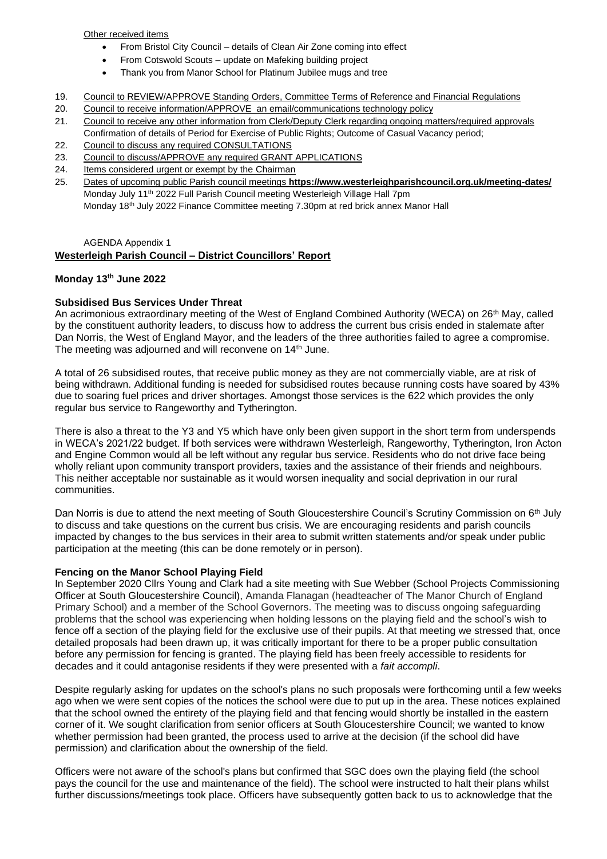Other received items

- From Bristol City Council details of Clean Air Zone coming into effect
- From Cotswold Scouts update on Mafeking building project
- Thank you from Manor School for Platinum Jubilee mugs and tree
- 19. Council to REVIEW/APPROVE Standing Orders, Committee Terms of Reference and Financial Regulations
- 20. Council to receive information/APPROVE an email/communications technology policy
- 21. Council to receive any other information from Clerk/Deputy Clerk regarding ongoing matters/required approvals Confirmation of details of Period for Exercise of Public Rights; Outcome of Casual Vacancy period;
- 22. Council to discuss any required CONSULTATIONS
- 23. Council to discuss/APPROVE any required GRANT APPLICATIONS
- 24. Items considered urgent or exempt by the Chairman
- 25. Dates of upcoming public Parish council meetings **https://www.westerleighparishcouncil.org.uk/meeting-dates/** Monday July 11th 2022 Full Parish Council meeting Westerleigh Village Hall 7pm Monday 18th July 2022 Finance Committee meeting 7.30pm at red brick annex Manor Hall

#### AGENDA Appendix 1

### **Westerleigh Parish Council – District Councillors' Report**

#### **Monday 13th June 2022**

#### **Subsidised Bus Services Under Threat**

An acrimonious extraordinary meeting of the West of England Combined Authority (WECA) on 26th May, called by the constituent authority leaders, to discuss how to address the current bus crisis ended in stalemate after Dan Norris, the West of England Mayor, and the leaders of the three authorities failed to agree a compromise. The meeting was adjourned and will reconvene on 14<sup>th</sup> June.

A total of 26 subsidised routes, that receive public money as they are not commercially viable, are at risk of being withdrawn. Additional funding is needed for subsidised routes because running costs have soared by 43% due to soaring fuel prices and driver shortages. Amongst those services is the 622 which provides the only regular bus service to Rangeworthy and Tytherington.

There is also a threat to the Y3 and Y5 which have only been given support in the short term from underspends in WECA's 2021/22 budget. If both services were withdrawn Westerleigh, Rangeworthy, Tytherington, Iron Acton and Engine Common would all be left without any regular bus service. Residents who do not drive face being wholly reliant upon community transport providers, taxies and the assistance of their friends and neighbours. This neither acceptable nor sustainable as it would worsen inequality and social deprivation in our rural communities.

Dan Norris is due to attend the next meeting of South Gloucestershire Council's Scrutiny Commission on 6<sup>th</sup> July to discuss and take questions on the current bus crisis. We are encouraging residents and parish councils impacted by changes to the bus services in their area to submit written statements and/or speak under public participation at the meeting (this can be done remotely or in person).

#### **Fencing on the Manor School Playing Field**

In September 2020 Cllrs Young and Clark had a site meeting with Sue Webber (School Projects Commissioning Officer at South Gloucestershire Council), Amanda Flanagan (headteacher of The Manor Church of England Primary School) and a member of the School Governors. The meeting was to discuss ongoing safeguarding problems that the school was experiencing when holding lessons on the playing field and the school's wish to fence off a section of the playing field for the exclusive use of their pupils. At that meeting we stressed that, once detailed proposals had been drawn up, it was critically important for there to be a proper public consultation before any permission for fencing is granted. The playing field has been freely accessible to residents for decades and it could antagonise residents if they were presented with a *fait accompli*.

Despite regularly asking for updates on the school's plans no such proposals were forthcoming until a few weeks ago when we were sent copies of the notices the school were due to put up in the area. These notices explained that the school owned the entirety of the playing field and that fencing would shortly be installed in the eastern corner of it. We sought clarification from senior officers at South Gloucestershire Council; we wanted to know whether permission had been granted, the process used to arrive at the decision (if the school did have permission) and clarification about the ownership of the field.

Officers were not aware of the school's plans but confirmed that SGC does own the playing field (the school pays the council for the use and maintenance of the field). The school were instructed to halt their plans whilst further discussions/meetings took place. Officers have subsequently gotten back to us to acknowledge that the